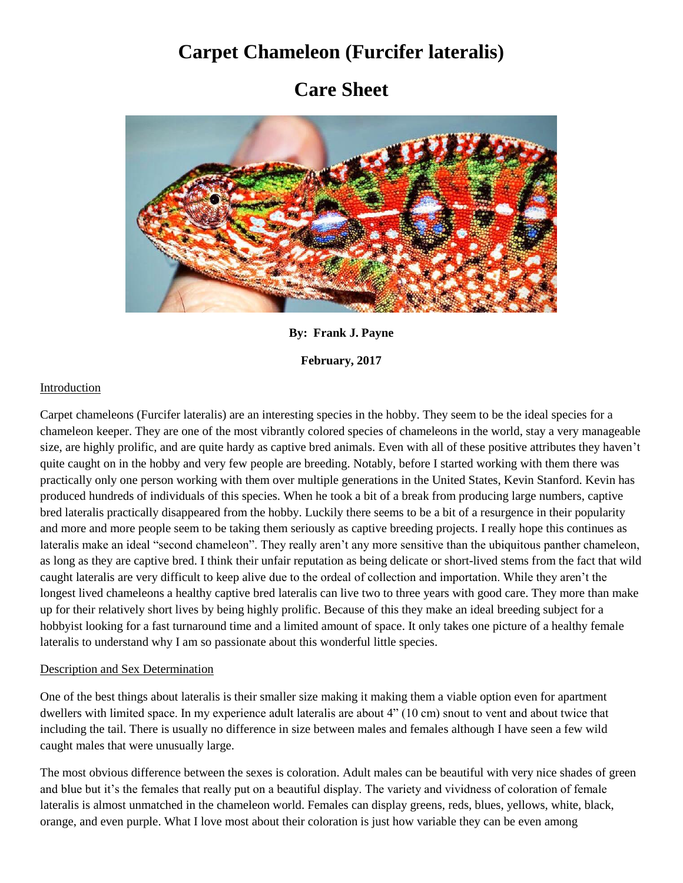# **Carpet Chameleon (Furcifer lateralis)**

# **Care Sheet**



**By: Frank J. Payne**

**February, 2017**

## Introduction

Carpet chameleons (Furcifer lateralis) are an interesting species in the hobby. They seem to be the ideal species for a chameleon keeper. They are one of the most vibrantly colored species of chameleons in the world, stay a very manageable size, are highly prolific, and are quite hardy as captive bred animals. Even with all of these positive attributes they haven't quite caught on in the hobby and very few people are breeding. Notably, before I started working with them there was practically only one person working with them over multiple generations in the United States, Kevin Stanford. Kevin has produced hundreds of individuals of this species. When he took a bit of a break from producing large numbers, captive bred lateralis practically disappeared from the hobby. Luckily there seems to be a bit of a resurgence in their popularity and more and more people seem to be taking them seriously as captive breeding projects. I really hope this continues as lateralis make an ideal "second chameleon". They really aren't any more sensitive than the ubiquitous panther chameleon, as long as they are captive bred. I think their unfair reputation as being delicate or short-lived stems from the fact that wild caught lateralis are very difficult to keep alive due to the ordeal of collection and importation. While they aren't the longest lived chameleons a healthy captive bred lateralis can live two to three years with good care. They more than make up for their relatively short lives by being highly prolific. Because of this they make an ideal breeding subject for a hobbyist looking for a fast turnaround time and a limited amount of space. It only takes one picture of a healthy female lateralis to understand why I am so passionate about this wonderful little species.

#### Description and Sex Determination

One of the best things about lateralis is their smaller size making it making them a viable option even for apartment dwellers with limited space. In my experience adult lateralis are about 4" (10 cm) snout to vent and about twice that including the tail. There is usually no difference in size between males and females although I have seen a few wild caught males that were unusually large.

The most obvious difference between the sexes is coloration. Adult males can be beautiful with very nice shades of green and blue but it's the females that really put on a beautiful display. The variety and vividness of coloration of female lateralis is almost unmatched in the chameleon world. Females can display greens, reds, blues, yellows, white, black, orange, and even purple. What I love most about their coloration is just how variable they can be even among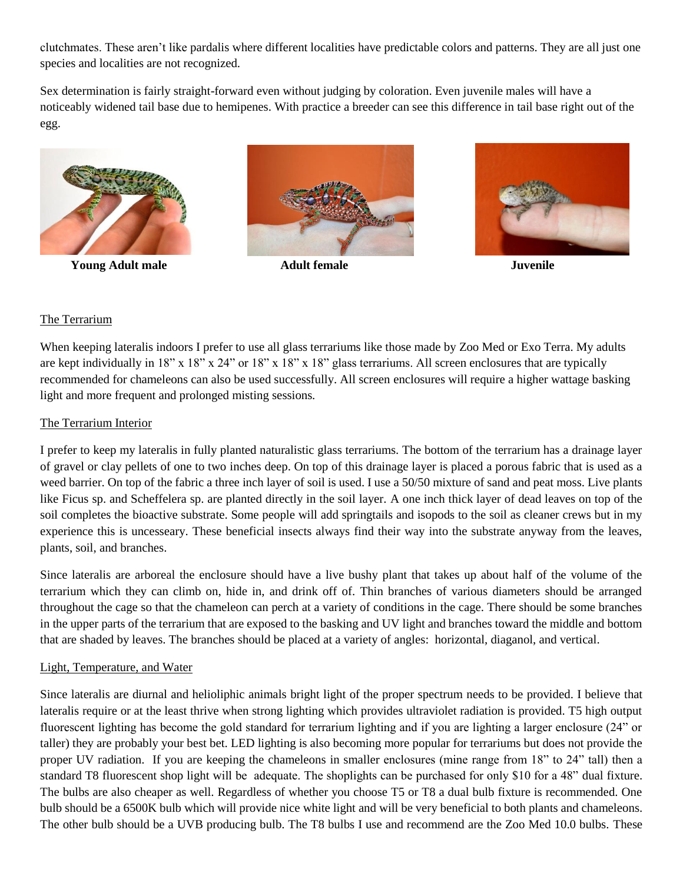clutchmates. These aren't like pardalis where different localities have predictable colors and patterns. They are all just one species and localities are not recognized.

Sex determination is fairly straight-forward even without judging by coloration. Even juvenile males will have a noticeably widened tail base due to hemipenes. With practice a breeder can see this difference in tail base right out of the egg.



**Young Adult male Adult female Juvenile**





# The Terrarium

When keeping lateralis indoors I prefer to use all glass terrariums like those made by Zoo Med or Exo Terra. My adults are kept individually in 18" x 18" x 24" or 18" x 18" x 18" glass terrariums. All screen enclosures that are typically recommended for chameleons can also be used successfully. All screen enclosures will require a higher wattage basking light and more frequent and prolonged misting sessions.

## The Terrarium Interior

I prefer to keep my lateralis in fully planted naturalistic glass terrariums. The bottom of the terrarium has a drainage layer of gravel or clay pellets of one to two inches deep. On top of this drainage layer is placed a porous fabric that is used as a weed barrier. On top of the fabric a three inch layer of soil is used. I use a 50/50 mixture of sand and peat moss. Live plants like Ficus sp. and Scheffelera sp. are planted directly in the soil layer. A one inch thick layer of dead leaves on top of the soil completes the bioactive substrate. Some people will add springtails and isopods to the soil as cleaner crews but in my experience this is uncesseary. These beneficial insects always find their way into the substrate anyway from the leaves, plants, soil, and branches.

Since lateralis are arboreal the enclosure should have a live bushy plant that takes up about half of the volume of the terrarium which they can climb on, hide in, and drink off of. Thin branches of various diameters should be arranged throughout the cage so that the chameleon can perch at a variety of conditions in the cage. There should be some branches in the upper parts of the terrarium that are exposed to the basking and UV light and branches toward the middle and bottom that are shaded by leaves. The branches should be placed at a variety of angles: horizontal, diaganol, and vertical.

#### Light, Temperature, and Water

Since lateralis are diurnal and helioliphic animals bright light of the proper spectrum needs to be provided. I believe that lateralis require or at the least thrive when strong lighting which provides ultraviolet radiation is provided. T5 high output fluorescent lighting has become the gold standard for terrarium lighting and if you are lighting a larger enclosure (24" or taller) they are probably your best bet. LED lighting is also becoming more popular for terrariums but does not provide the proper UV radiation. If you are keeping the chameleons in smaller enclosures (mine range from 18" to 24" tall) then a standard T8 fluorescent shop light will be adequate. The shoplights can be purchased for only \$10 for a 48" dual fixture. The bulbs are also cheaper as well. Regardless of whether you choose T5 or T8 a dual bulb fixture is recommended. One bulb should be a 6500K bulb which will provide nice white light and will be very beneficial to both plants and chameleons. The other bulb should be a UVB producing bulb. The T8 bulbs I use and recommend are the Zoo Med 10.0 bulbs. These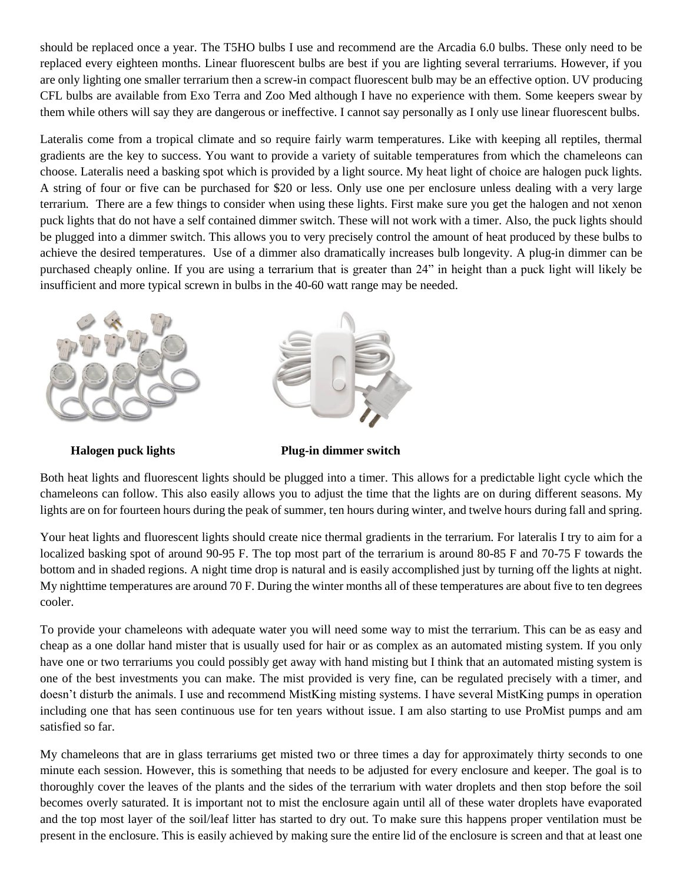should be replaced once a year. The T5HO bulbs I use and recommend are the Arcadia 6.0 bulbs. These only need to be replaced every eighteen months. Linear fluorescent bulbs are best if you are lighting several terrariums. However, if you are only lighting one smaller terrarium then a screw-in compact fluorescent bulb may be an effective option. UV producing CFL bulbs are available from Exo Terra and Zoo Med although I have no experience with them. Some keepers swear by them while others will say they are dangerous or ineffective. I cannot say personally as I only use linear fluorescent bulbs.

Lateralis come from a tropical climate and so require fairly warm temperatures. Like with keeping all reptiles, thermal gradients are the key to success. You want to provide a variety of suitable temperatures from which the chameleons can choose. Lateralis need a basking spot which is provided by a light source. My heat light of choice are halogen puck lights. A string of four or five can be purchased for \$20 or less. Only use one per enclosure unless dealing with a very large terrarium. There are a few things to consider when using these lights. First make sure you get the halogen and not xenon puck lights that do not have a self contained dimmer switch. These will not work with a timer. Also, the puck lights should be plugged into a dimmer switch. This allows you to very precisely control the amount of heat produced by these bulbs to achieve the desired temperatures. Use of a dimmer also dramatically increases bulb longevity. A plug-in dimmer can be purchased cheaply online. If you are using a terrarium that is greater than 24" in height than a puck light will likely be insufficient and more typical screwn in bulbs in the 40-60 watt range may be needed.



 **Halogen puck lights Plug-in dimmer switch**

Both heat lights and fluorescent lights should be plugged into a timer. This allows for a predictable light cycle which the chameleons can follow. This also easily allows you to adjust the time that the lights are on during different seasons. My lights are on for fourteen hours during the peak of summer, ten hours during winter, and twelve hours during fall and spring.

Your heat lights and fluorescent lights should create nice thermal gradients in the terrarium. For lateralis I try to aim for a localized basking spot of around 90-95 F. The top most part of the terrarium is around 80-85 F and 70-75 F towards the bottom and in shaded regions. A night time drop is natural and is easily accomplished just by turning off the lights at night. My nighttime temperatures are around 70 F. During the winter months all of these temperatures are about five to ten degrees cooler.

To provide your chameleons with adequate water you will need some way to mist the terrarium. This can be as easy and cheap as a one dollar hand mister that is usually used for hair or as complex as an automated misting system. If you only have one or two terrariums you could possibly get away with hand misting but I think that an automated misting system is one of the best investments you can make. The mist provided is very fine, can be regulated precisely with a timer, and doesn't disturb the animals. I use and recommend MistKing misting systems. I have several MistKing pumps in operation including one that has seen continuous use for ten years without issue. I am also starting to use ProMist pumps and am satisfied so far.

My chameleons that are in glass terrariums get misted two or three times a day for approximately thirty seconds to one minute each session. However, this is something that needs to be adjusted for every enclosure and keeper. The goal is to thoroughly cover the leaves of the plants and the sides of the terrarium with water droplets and then stop before the soil becomes overly saturated. It is important not to mist the enclosure again until all of these water droplets have evaporated and the top most layer of the soil/leaf litter has started to dry out. To make sure this happens proper ventilation must be present in the enclosure. This is easily achieved by making sure the entire lid of the enclosure is screen and that at least one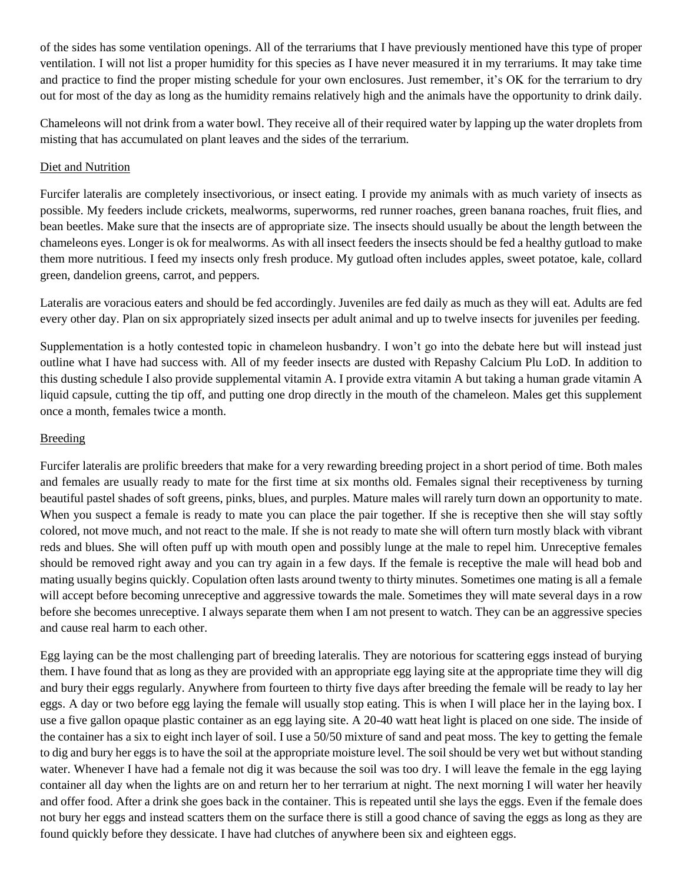of the sides has some ventilation openings. All of the terrariums that I have previously mentioned have this type of proper ventilation. I will not list a proper humidity for this species as I have never measured it in my terrariums. It may take time and practice to find the proper misting schedule for your own enclosures. Just remember, it's OK for the terrarium to dry out for most of the day as long as the humidity remains relatively high and the animals have the opportunity to drink daily.

Chameleons will not drink from a water bowl. They receive all of their required water by lapping up the water droplets from misting that has accumulated on plant leaves and the sides of the terrarium.

# Diet and Nutrition

Furcifer lateralis are completely insectivorious, or insect eating. I provide my animals with as much variety of insects as possible. My feeders include crickets, mealworms, superworms, red runner roaches, green banana roaches, fruit flies, and bean beetles. Make sure that the insects are of appropriate size. The insects should usually be about the length between the chameleons eyes. Longer is ok for mealworms. As with all insect feeders the insects should be fed a healthy gutload to make them more nutritious. I feed my insects only fresh produce. My gutload often includes apples, sweet potatoe, kale, collard green, dandelion greens, carrot, and peppers.

Lateralis are voracious eaters and should be fed accordingly. Juveniles are fed daily as much as they will eat. Adults are fed every other day. Plan on six appropriately sized insects per adult animal and up to twelve insects for juveniles per feeding.

Supplementation is a hotly contested topic in chameleon husbandry. I won't go into the debate here but will instead just outline what I have had success with. All of my feeder insects are dusted with Repashy Calcium Plu LoD. In addition to this dusting schedule I also provide supplemental vitamin A. I provide extra vitamin A but taking a human grade vitamin A liquid capsule, cutting the tip off, and putting one drop directly in the mouth of the chameleon. Males get this supplement once a month, females twice a month.

## Breeding

Furcifer lateralis are prolific breeders that make for a very rewarding breeding project in a short period of time. Both males and females are usually ready to mate for the first time at six months old. Females signal their receptiveness by turning beautiful pastel shades of soft greens, pinks, blues, and purples. Mature males will rarely turn down an opportunity to mate. When you suspect a female is ready to mate you can place the pair together. If she is receptive then she will stay softly colored, not move much, and not react to the male. If she is not ready to mate she will oftern turn mostly black with vibrant reds and blues. She will often puff up with mouth open and possibly lunge at the male to repel him. Unreceptive females should be removed right away and you can try again in a few days. If the female is receptive the male will head bob and mating usually begins quickly. Copulation often lasts around twenty to thirty minutes. Sometimes one mating is all a female will accept before becoming unreceptive and aggressive towards the male. Sometimes they will mate several days in a row before she becomes unreceptive. I always separate them when I am not present to watch. They can be an aggressive species and cause real harm to each other.

Egg laying can be the most challenging part of breeding lateralis. They are notorious for scattering eggs instead of burying them. I have found that as long as they are provided with an appropriate egg laying site at the appropriate time they will dig and bury their eggs regularly. Anywhere from fourteen to thirty five days after breeding the female will be ready to lay her eggs. A day or two before egg laying the female will usually stop eating. This is when I will place her in the laying box. I use a five gallon opaque plastic container as an egg laying site. A 20-40 watt heat light is placed on one side. The inside of the container has a six to eight inch layer of soil. I use a 50/50 mixture of sand and peat moss. The key to getting the female to dig and bury her eggs is to have the soil at the appropriate moisture level. The soil should be very wet but without standing water. Whenever I have had a female not dig it was because the soil was too dry. I will leave the female in the egg laying container all day when the lights are on and return her to her terrarium at night. The next morning I will water her heavily and offer food. After a drink she goes back in the container. This is repeated until she lays the eggs. Even if the female does not bury her eggs and instead scatters them on the surface there is still a good chance of saving the eggs as long as they are found quickly before they dessicate. I have had clutches of anywhere been six and eighteen eggs.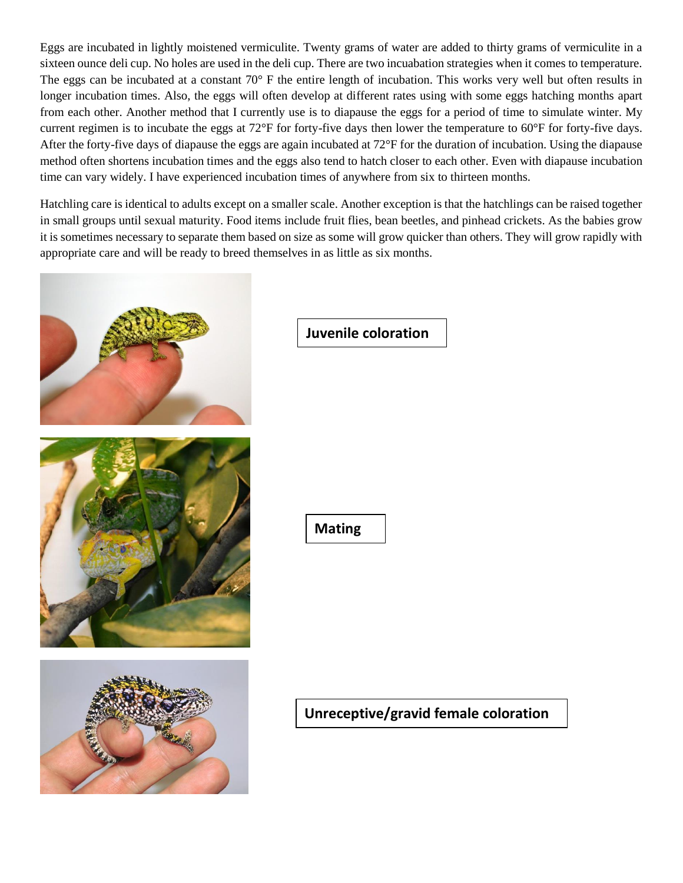Eggs are incubated in lightly moistened vermiculite. Twenty grams of water are added to thirty grams of vermiculite in a sixteen ounce deli cup. No holes are used in the deli cup. There are two incuabation strategies when it comes to temperature. The eggs can be incubated at a constant 70° F the entire length of incubation. This works very well but often results in longer incubation times. Also, the eggs will often develop at different rates using with some eggs hatching months apart from each other. Another method that I currently use is to diapause the eggs for a period of time to simulate winter. My current regimen is to incubate the eggs at 72°F for forty-five days then lower the temperature to 60°F for forty-five days. After the forty-five days of diapause the eggs are again incubated at 72°F for the duration of incubation. Using the diapause method often shortens incubation times and the eggs also tend to hatch closer to each other. Even with diapause incubation time can vary widely. I have experienced incubation times of anywhere from six to thirteen months.

Hatchling care is identical to adults except on a smaller scale. Another exception is that the hatchlings can be raised together in small groups until sexual maturity. Food items include fruit flies, bean beetles, and pinhead crickets. As the babies grow it is sometimes necessary to separate them based on size as some will grow quicker than others. They will grow rapidly with appropriate care and will be ready to breed themselves in as little as six months.



# **Unreceptive/gravid female coloration**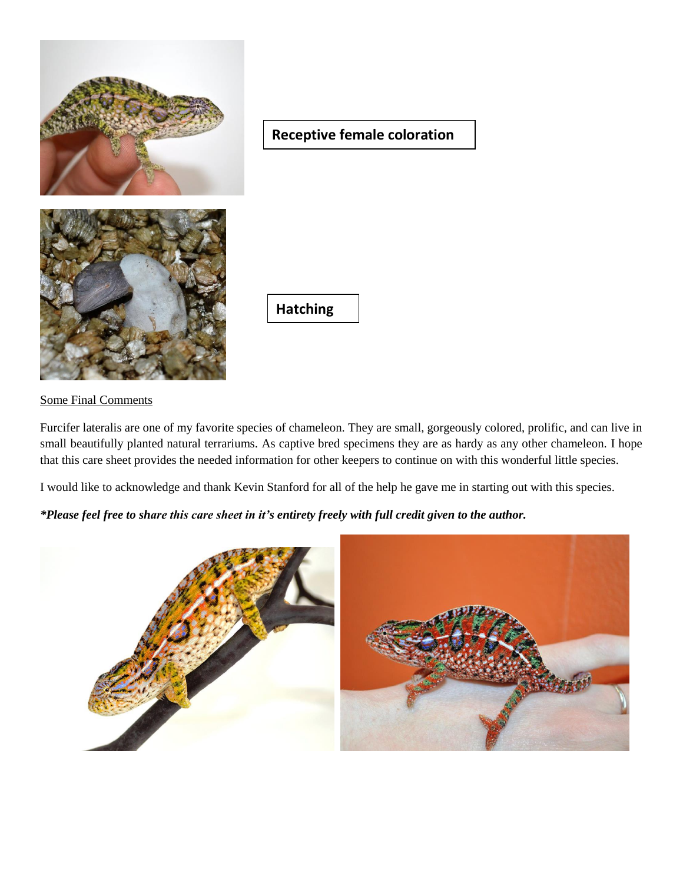

# **Receptive female coloration**

**Hatching**

## Some Final Comments

Furcifer lateralis are one of my favorite species of chameleon. They are small, gorgeously colored, prolific, and can live in small beautifully planted natural terrariums. As captive bred specimens they are as hardy as any other chameleon. I hope that this care sheet provides the needed information for other keepers to continue on with this wonderful little species.

I would like to acknowledge and thank Kevin Stanford for all of the help he gave me in starting out with this species.

*\*Please feel free to share this care sheet in it's entirety freely with full credit given to the author.*